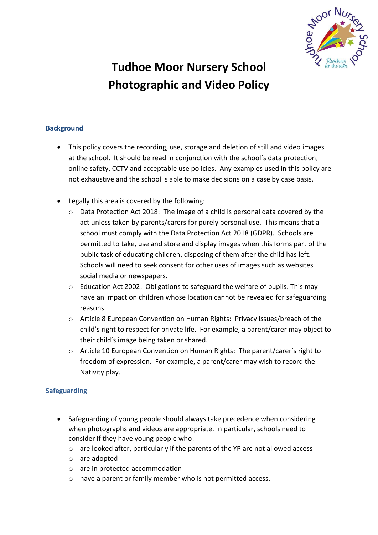

# **Tudhoe Moor Nursery School Photographic and Video Policy**

## **Background**

- This policy covers the recording, use, storage and deletion of still and video images at the school. It should be read in conjunction with the school's data protection, online safety, CCTV and acceptable use policies. Any examples used in this policy are not exhaustive and the school is able to make decisions on a case by case basis.
- Legally this area is covered by the following:
	- Data Protection Act 2018: The image of a child is personal data covered by the act unless taken by parents/carers for purely personal use. This means that a school must comply with the Data Protection Act 2018 (GDPR). Schools are permitted to take, use and store and display images when this forms part of the public task of educating children, disposing of them after the child has left. Schools will need to seek consent for other uses of images such as websites social media or newspapers.
	- $\circ$  Education Act 2002: Obligations to safeguard the welfare of pupils. This may have an impact on children whose location cannot be revealed for safeguarding reasons.
	- o Article 8 European Convention on Human Rights: Privacy issues/breach of the child's right to respect for private life. For example, a parent/carer may object to their child's image being taken or shared.
	- $\circ$  Article 10 European Convention on Human Rights: The parent/carer's right to freedom of expression. For example, a parent/carer may wish to record the Nativity play.

### **Safeguarding**

- Safeguarding of young people should always take precedence when considering when photographs and videos are appropriate. In particular, schools need to consider if they have young people who:
	- o are looked after, particularly if the parents of the YP are not allowed access
	- o are adopted
	- o are in protected accommodation
	- o have a parent or family member who is not permitted access.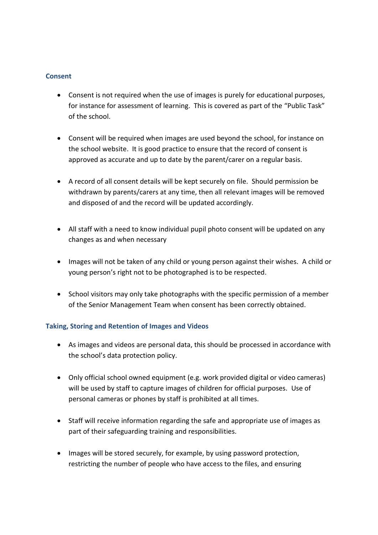#### **Consent**

- Consent is not required when the use of images is purely for educational purposes, for instance for assessment of learning. This is covered as part of the "Public Task" of the school.
- Consent will be required when images are used beyond the school, for instance on the school website. It is good practice to ensure that the record of consent is approved as accurate and up to date by the parent/carer on a regular basis.
- A record of all consent details will be kept securely on file. Should permission be withdrawn by parents/carers at any time, then all relevant images will be removed and disposed of and the record will be updated accordingly.
- All staff with a need to know individual pupil photo consent will be updated on any changes as and when necessary
- Images will not be taken of any child or young person against their wishes. A child or young person's right not to be photographed is to be respected.
- School visitors may only take photographs with the specific permission of a member of the Senior Management Team when consent has been correctly obtained.

### **Taking, Storing and Retention of Images and Videos**

- As images and videos are personal data, this should be processed in accordance with the school's data protection policy.
- Only official school owned equipment (e.g. work provided digital or video cameras) will be used by staff to capture images of children for official purposes. Use of personal cameras or phones by staff is prohibited at all times.
- Staff will receive information regarding the safe and appropriate use of images as part of their safeguarding training and responsibilities.
- Images will be stored securely, for example, by using password protection, restricting the number of people who have access to the files, and ensuring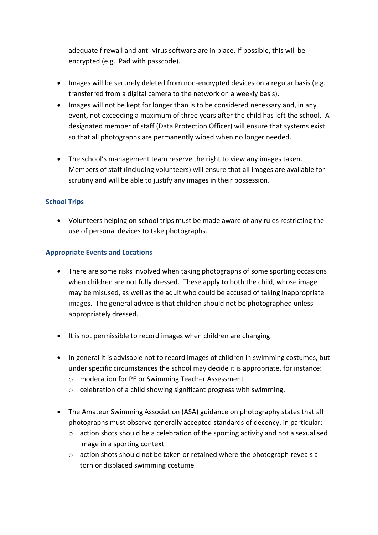adequate firewall and anti-virus software are in place. If possible, this will be encrypted (e.g. iPad with passcode).

- Images will be securely deleted from non-encrypted devices on a regular basis (e.g. transferred from a digital camera to the network on a weekly basis).
- Images will not be kept for longer than is to be considered necessary and, in any event, not exceeding a maximum of three years after the child has left the school. A designated member of staff (Data Protection Officer) will ensure that systems exist so that all photographs are permanently wiped when no longer needed.
- The school's management team reserve the right to view any images taken. Members of staff (including volunteers) will ensure that all images are available for scrutiny and will be able to justify any images in their possession.

## **School Trips**

 Volunteers helping on school trips must be made aware of any rules restricting the use of personal devices to take photographs.

## **Appropriate Events and Locations**

- There are some risks involved when taking photographs of some sporting occasions when children are not fully dressed. These apply to both the child, whose image may be misused, as well as the adult who could be accused of taking inappropriate images. The general advice is that children should not be photographed unless appropriately dressed.
- It is not permissible to record images when children are changing.
- In general it is advisable not to record images of children in swimming costumes, but under specific circumstances the school may decide it is appropriate, for instance:
	- o moderation for PE or Swimming Teacher Assessment
	- o celebration of a child showing significant progress with swimming.
- The Amateur Swimming Association (ASA) guidance on photography states that all photographs must observe generally accepted standards of decency, in particular:
	- $\circ$  action shots should be a celebration of the sporting activity and not a sexualised image in a sporting context
	- o action shots should not be taken or retained where the photograph reveals a torn or displaced swimming costume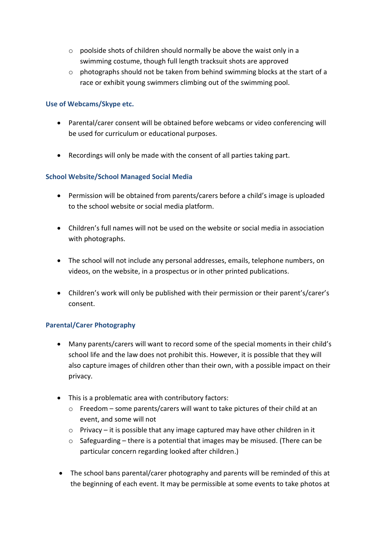- o poolside shots of children should normally be above the waist only in a swimming costume, though full length tracksuit shots are approved
- $\circ$  photographs should not be taken from behind swimming blocks at the start of a race or exhibit young swimmers climbing out of the swimming pool.

#### **Use of Webcams/Skype etc.**

- Parental/carer consent will be obtained before webcams or video conferencing will be used for curriculum or educational purposes.
- Recordings will only be made with the consent of all parties taking part.

### **School Website/School Managed Social Media**

- Permission will be obtained from parents/carers before a child's image is uploaded to the school website or social media platform.
- Children's full names will not be used on the website or social media in association with photographs.
- The school will not include any personal addresses, emails, telephone numbers, on videos, on the website, in a prospectus or in other printed publications.
- Children's work will only be published with their permission or their parent's/carer's consent.

### **Parental/Carer Photography**

- Many parents/carers will want to record some of the special moments in their child's school life and the law does not prohibit this. However, it is possible that they will also capture images of children other than their own, with a possible impact on their privacy.
- This is a problematic area with contributory factors:
	- $\circ$  Freedom some parents/carers will want to take pictures of their child at an event, and some will not
	- o Privacy it is possible that any image captured may have other children in it
	- o Safeguarding there is a potential that images may be misused. (There can be particular concern regarding looked after children.)
- The school bans parental/carer photography and parents will be reminded of this at the beginning of each event. It may be permissible at some events to take photos at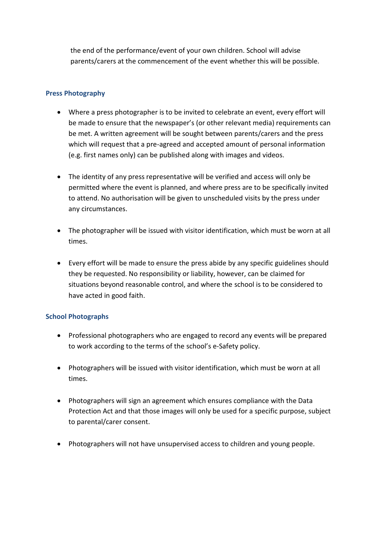the end of the performance/event of your own children. School will advise parents/carers at the commencement of the event whether this will be possible.

#### **Press Photography**

- Where a press photographer is to be invited to celebrate an event, every effort will be made to ensure that the newspaper's (or other relevant media) requirements can be met. A written agreement will be sought between parents/carers and the press which will request that a pre-agreed and accepted amount of personal information (e.g. first names only) can be published along with images and videos.
- The identity of any press representative will be verified and access will only be permitted where the event is planned, and where press are to be specifically invited to attend. No authorisation will be given to unscheduled visits by the press under any circumstances.
- The photographer will be issued with visitor identification, which must be worn at all times.
- Every effort will be made to ensure the press abide by any specific guidelines should they be requested. No responsibility or liability, however, can be claimed for situations beyond reasonable control, and where the school is to be considered to have acted in good faith.

#### **School Photographs**

- Professional photographers who are engaged to record any events will be prepared to work according to the terms of the school's e-Safety policy.
- Photographers will be issued with visitor identification, which must be worn at all times.
- Photographers will sign an agreement which ensures compliance with the Data Protection Act and that those images will only be used for a specific purpose, subject to parental/carer consent.
- Photographers will not have unsupervised access to children and young people.